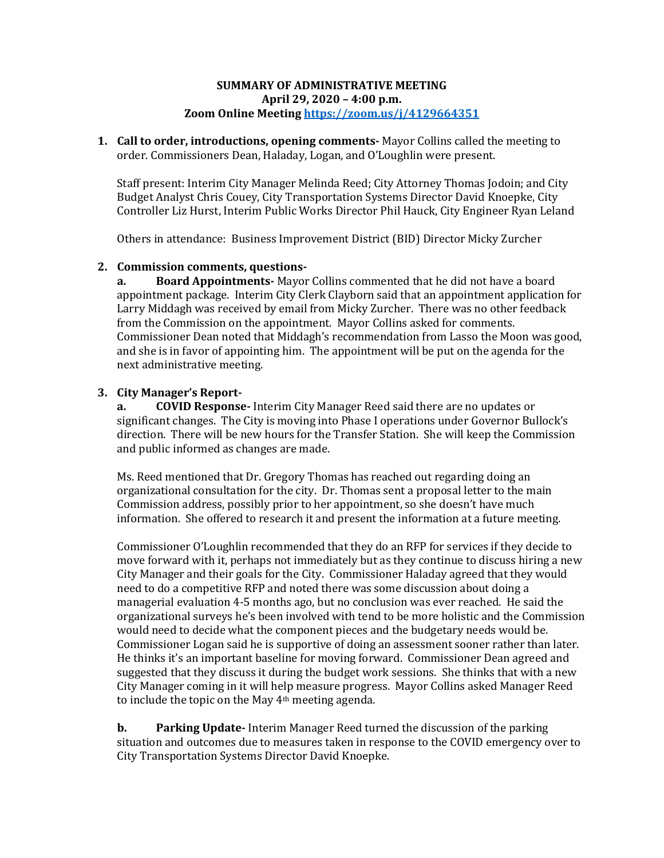## **SUMMARY OF ADMINISTRATIVE MEETING April 29, 2020 – 4:00 p.m. Zoom Online Meetin[g https://zoom.us/j/4129664351](https://zoom.us/j/4129664351)**

**1. Call to order, introductions, opening comments-** Mayor Collins called the meeting to order. Commissioners Dean, Haladay, Logan, and O'Loughlin were present.

Staff present: Interim City Manager Melinda Reed; City Attorney Thomas Jodoin; and City Budget Analyst Chris Couey, City Transportation Systems Director David Knoepke, City Controller Liz Hurst, Interim Public Works Director Phil Hauck, City Engineer Ryan Leland

Others in attendance: Business Improvement District (BID) Director Micky Zurcher

# **2. Commission comments, questions-**

**a. Board Appointments-** Mayor Collins commented that he did not have a board appointment package. Interim City Clerk Clayborn said that an appointment application for Larry Middagh was received by email from Micky Zurcher. There was no other feedback from the Commission on the appointment. Mayor Collins asked for comments. Commissioner Dean noted that Middagh's recommendation from Lasso the Moon was good, and she is in favor of appointing him. The appointment will be put on the agenda for the next administrative meeting.

# **3. City Manager's Report-**

**a. COVID Response-** Interim City Manager Reed said there are no updates or significant changes. The City is moving into Phase I operations under Governor Bullock's direction. There will be new hours for the Transfer Station. She will keep the Commission and public informed as changes are made.

Ms. Reed mentioned that Dr. Gregory Thomas has reached out regarding doing an organizational consultation for the city. Dr. Thomas sent a proposal letter to the main Commission address, possibly prior to her appointment, so she doesn't have much information. She offered to research it and present the information at a future meeting.

Commissioner O'Loughlin recommended that they do an RFP for services if they decide to move forward with it, perhaps not immediately but as they continue to discuss hiring a new City Manager and their goals for the City. Commissioner Haladay agreed that they would need to do a competitive RFP and noted there was some discussion about doing a managerial evaluation 4-5 months ago, but no conclusion was ever reached. He said the organizational surveys he's been involved with tend to be more holistic and the Commission would need to decide what the component pieces and the budgetary needs would be. Commissioner Logan said he is supportive of doing an assessment sooner rather than later. He thinks it's an important baseline for moving forward. Commissioner Dean agreed and suggested that they discuss it during the budget work sessions. She thinks that with a new City Manager coming in it will help measure progress. Mayor Collins asked Manager Reed to include the topic on the May 4th meeting agenda.

**b. Parking Update-** Interim Manager Reed turned the discussion of the parking situation and outcomes due to measures taken in response to the COVID emergency over to City Transportation Systems Director David Knoepke.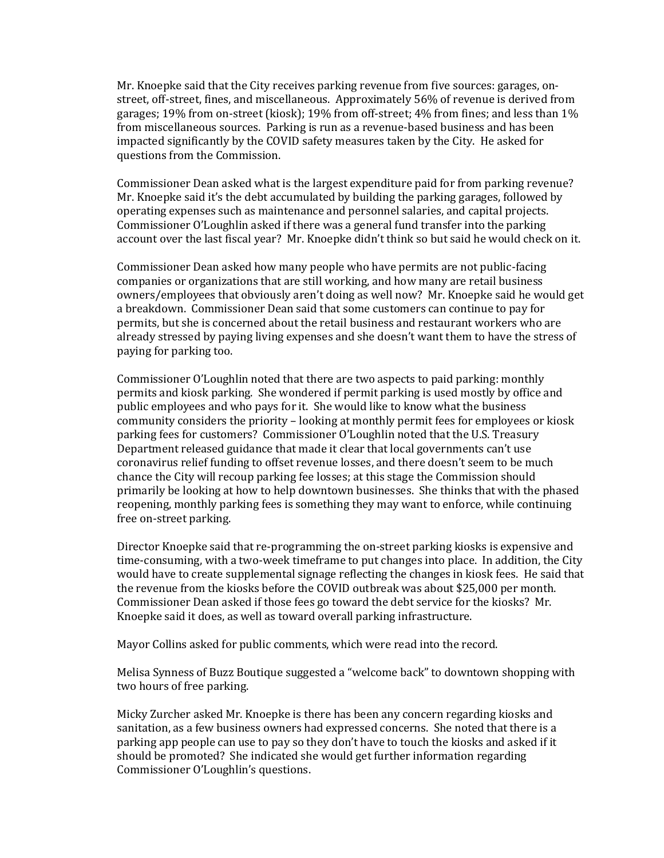Mr. Knoepke said that the City receives parking revenue from five sources: garages, onstreet, off-street, fines, and miscellaneous. Approximately 56% of revenue is derived from garages; 19% from on-street (kiosk); 19% from off-street; 4% from fines; and less than 1% from miscellaneous sources. Parking is run as a revenue-based business and has been impacted significantly by the COVID safety measures taken by the City. He asked for questions from the Commission.

Commissioner Dean asked what is the largest expenditure paid for from parking revenue? Mr. Knoepke said it's the debt accumulated by building the parking garages, followed by operating expenses such as maintenance and personnel salaries, and capital projects. Commissioner O'Loughlin asked if there was a general fund transfer into the parking account over the last fiscal year? Mr. Knoepke didn't think so but said he would check on it.

Commissioner Dean asked how many people who have permits are not public-facing companies or organizations that are still working, and how many are retail business owners/employees that obviously aren't doing as well now? Mr. Knoepke said he would get a breakdown. Commissioner Dean said that some customers can continue to pay for permits, but she is concerned about the retail business and restaurant workers who are already stressed by paying living expenses and she doesn't want them to have the stress of paying for parking too.

Commissioner O'Loughlin noted that there are two aspects to paid parking: monthly permits and kiosk parking. She wondered if permit parking is used mostly by office and public employees and who pays for it. She would like to know what the business community considers the priority – looking at monthly permit fees for employees or kiosk parking fees for customers? Commissioner O'Loughlin noted that the U.S. Treasury Department released guidance that made it clear that local governments can't use coronavirus relief funding to offset revenue losses, and there doesn't seem to be much chance the City will recoup parking fee losses; at this stage the Commission should primarily be looking at how to help downtown businesses. She thinks that with the phased reopening, monthly parking fees is something they may want to enforce, while continuing free on-street parking.

Director Knoepke said that re-programming the on-street parking kiosks is expensive and time-consuming, with a two-week timeframe to put changes into place. In addition, the City would have to create supplemental signage reflecting the changes in kiosk fees. He said that the revenue from the kiosks before the COVID outbreak was about \$25,000 per month. Commissioner Dean asked if those fees go toward the debt service for the kiosks? Mr. Knoepke said it does, as well as toward overall parking infrastructure.

Mayor Collins asked for public comments, which were read into the record.

Melisa Synness of Buzz Boutique suggested a "welcome back" to downtown shopping with two hours of free parking.

Micky Zurcher asked Mr. Knoepke is there has been any concern regarding kiosks and sanitation, as a few business owners had expressed concerns. She noted that there is a parking app people can use to pay so they don't have to touch the kiosks and asked if it should be promoted? She indicated she would get further information regarding Commissioner O'Loughlin's questions.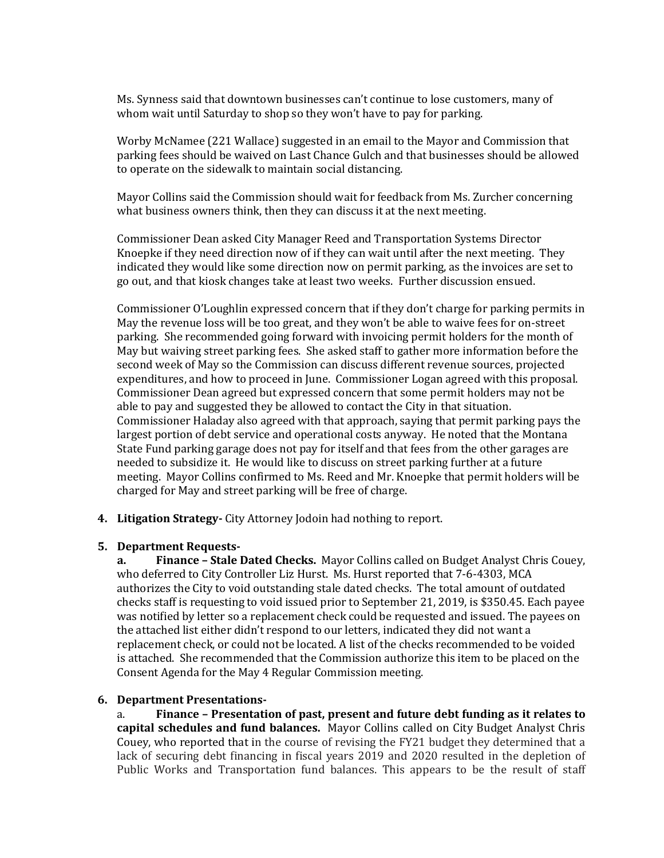Ms. Synness said that downtown businesses can't continue to lose customers, many of whom wait until Saturday to shop so they won't have to pay for parking.

Worby McNamee (221 Wallace) suggested in an email to the Mayor and Commission that parking fees should be waived on Last Chance Gulch and that businesses should be allowed to operate on the sidewalk to maintain social distancing.

Mayor Collins said the Commission should wait for feedback from Ms. Zurcher concerning what business owners think, then they can discuss it at the next meeting.

Commissioner Dean asked City Manager Reed and Transportation Systems Director Knoepke if they need direction now of if they can wait until after the next meeting. They indicated they would like some direction now on permit parking, as the invoices are set to go out, and that kiosk changes take at least two weeks. Further discussion ensued.

Commissioner O'Loughlin expressed concern that if they don't charge for parking permits in May the revenue loss will be too great, and they won't be able to waive fees for on-street parking. She recommended going forward with invoicing permit holders for the month of May but waiving street parking fees. She asked staff to gather more information before the second week of May so the Commission can discuss different revenue sources, projected expenditures, and how to proceed in June. Commissioner Logan agreed with this proposal. Commissioner Dean agreed but expressed concern that some permit holders may not be able to pay and suggested they be allowed to contact the City in that situation. Commissioner Haladay also agreed with that approach, saying that permit parking pays the largest portion of debt service and operational costs anyway. He noted that the Montana State Fund parking garage does not pay for itself and that fees from the other garages are needed to subsidize it. He would like to discuss on street parking further at a future meeting. Mayor Collins confirmed to Ms. Reed and Mr. Knoepke that permit holders will be charged for May and street parking will be free of charge.

**4. Litigation Strategy-** City Attorney Jodoin had nothing to report.

### **5. Department Requests-**

**a. Finance – Stale Dated Checks.** Mayor Collins called on Budget Analyst Chris Couey, who deferred to City Controller Liz Hurst. Ms. Hurst reported that 7-6-4303, MCA authorizes the City to void outstanding stale dated checks. The total amount of outdated checks staff is requesting to void issued prior to September 21, 2019, is \$350.45. Each payee was notified by letter so a replacement check could be requested and issued. The payees on the attached list either didn't respond to our letters, indicated they did not want a replacement check, or could not be located. A list of the checks recommended to be voided is attached. She recommended that the Commission authorize this item to be placed on the Consent Agenda for the May 4 Regular Commission meeting.

#### **6. Department Presentations-**

a. **Finance – Presentation of past, present and future debt funding as it relates to capital schedules and fund balances.** Mayor Collins called on City Budget Analyst Chris Couey, who reported that in the course of revising the FY21 budget they determined that a lack of securing debt financing in fiscal years 2019 and 2020 resulted in the depletion of Public Works and Transportation fund balances. This appears to be the result of staff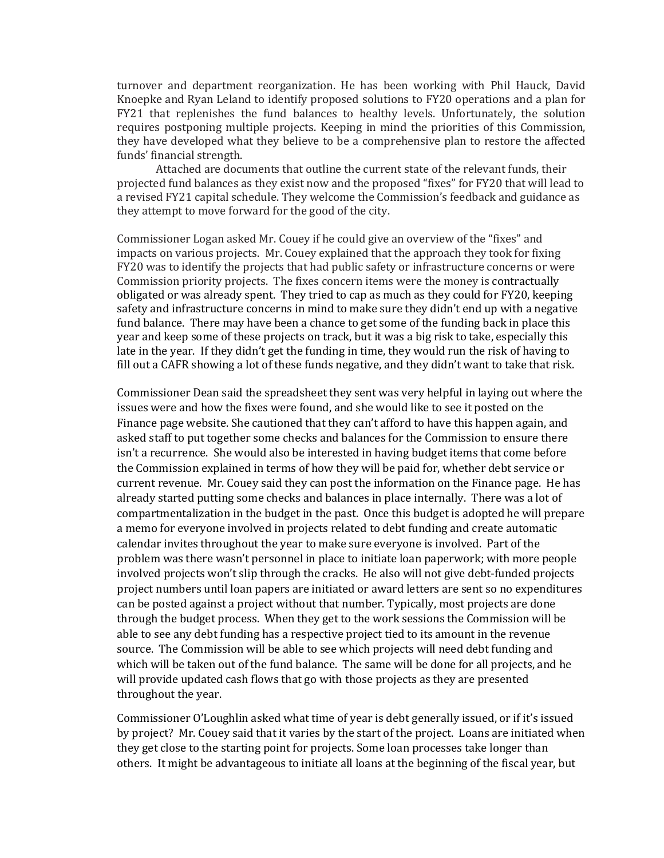turnover and department reorganization. He has been working with Phil Hauck, David Knoepke and Ryan Leland to identify proposed solutions to FY20 operations and a plan for FY21 that replenishes the fund balances to healthy levels. Unfortunately, the solution requires postponing multiple projects. Keeping in mind the priorities of this Commission, they have developed what they believe to be a comprehensive plan to restore the affected funds' financial strength.

Attached are documents that outline the current state of the relevant funds, their projected fund balances as they exist now and the proposed "fixes" for FY20 that will lead to a revised FY21 capital schedule. They welcome the Commission's feedback and guidance as they attempt to move forward for the good of the city.

Commissioner Logan asked Mr. Couey if he could give an overview of the "fixes" and impacts on various projects. Mr. Couey explained that the approach they took for fixing FY20 was to identify the projects that had public safety or infrastructure concerns or were Commission priority projects. The fixes concern items were the money is contractually obligated or was already spent. They tried to cap as much as they could for FY20, keeping safety and infrastructure concerns in mind to make sure they didn't end up with a negative fund balance. There may have been a chance to get some of the funding back in place this year and keep some of these projects on track, but it was a big risk to take, especially this late in the year. If they didn't get the funding in time, they would run the risk of having to fill out a CAFR showing a lot of these funds negative, and they didn't want to take that risk.

Commissioner Dean said the spreadsheet they sent was very helpful in laying out where the issues were and how the fixes were found, and she would like to see it posted on the Finance page website. She cautioned that they can't afford to have this happen again, and asked staff to put together some checks and balances for the Commission to ensure there isn't a recurrence. She would also be interested in having budget items that come before the Commission explained in terms of how they will be paid for, whether debt service or current revenue. Mr. Couey said they can post the information on the Finance page. He has already started putting some checks and balances in place internally. There was a lot of compartmentalization in the budget in the past. Once this budget is adopted he will prepare a memo for everyone involved in projects related to debt funding and create automatic calendar invites throughout the year to make sure everyone is involved. Part of the problem was there wasn't personnel in place to initiate loan paperwork; with more people involved projects won't slip through the cracks. He also will not give debt-funded projects project numbers until loan papers are initiated or award letters are sent so no expenditures can be posted against a project without that number. Typically, most projects are done through the budget process. When they get to the work sessions the Commission will be able to see any debt funding has a respective project tied to its amount in the revenue source. The Commission will be able to see which projects will need debt funding and which will be taken out of the fund balance. The same will be done for all projects, and he will provide updated cash flows that go with those projects as they are presented throughout the year.

Commissioner O'Loughlin asked what time of year is debt generally issued, or if it's issued by project? Mr. Couey said that it varies by the start of the project. Loans are initiated when they get close to the starting point for projects. Some loan processes take longer than others. It might be advantageous to initiate all loans at the beginning of the fiscal year, but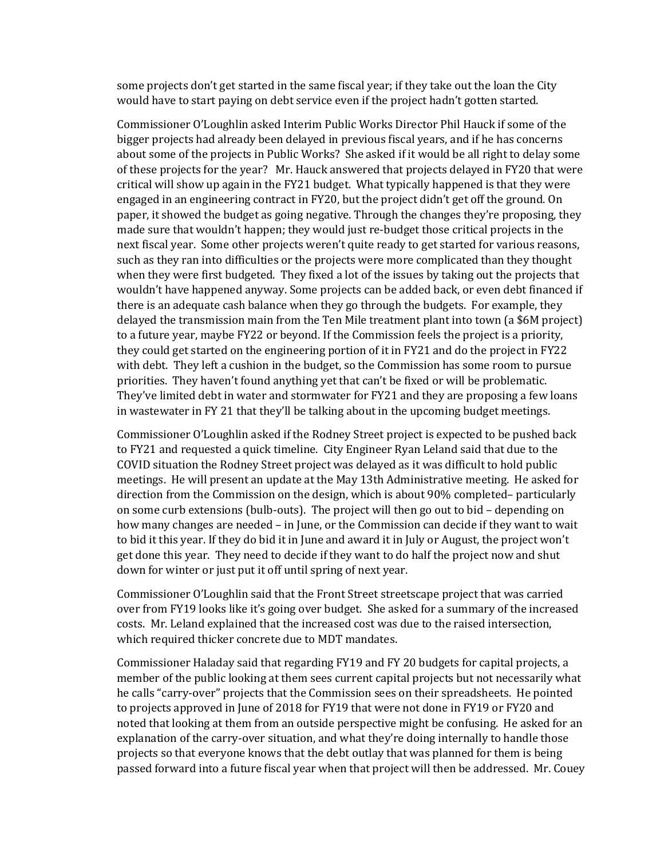some projects don't get started in the same fiscal year; if they take out the loan the City would have to start paying on debt service even if the project hadn't gotten started.

Commissioner O'Loughlin asked Interim Public Works Director Phil Hauck if some of the bigger projects had already been delayed in previous fiscal years, and if he has concerns about some of the projects in Public Works? She asked if it would be all right to delay some of these projects for the year? Mr. Hauck answered that projects delayed in FY20 that were critical will show up again in the FY21 budget. What typically happened is that they were engaged in an engineering contract in FY20, but the project didn't get off the ground. On paper, it showed the budget as going negative. Through the changes they're proposing, they made sure that wouldn't happen; they would just re-budget those critical projects in the next fiscal year. Some other projects weren't quite ready to get started for various reasons, such as they ran into difficulties or the projects were more complicated than they thought when they were first budgeted. They fixed a lot of the issues by taking out the projects that wouldn't have happened anyway. Some projects can be added back, or even debt financed if there is an adequate cash balance when they go through the budgets. For example, they delayed the transmission main from the Ten Mile treatment plant into town (a \$6M project) to a future year, maybe FY22 or beyond. If the Commission feels the project is a priority, they could get started on the engineering portion of it in FY21 and do the project in FY22 with debt. They left a cushion in the budget, so the Commission has some room to pursue priorities. They haven't found anything yet that can't be fixed or will be problematic. They've limited debt in water and stormwater for FY21 and they are proposing a few loans in wastewater in FY 21 that they'll be talking about in the upcoming budget meetings.

Commissioner O'Loughlin asked if the Rodney Street project is expected to be pushed back to FY21 and requested a quick timeline. City Engineer Ryan Leland said that due to the COVID situation the Rodney Street project was delayed as it was difficult to hold public meetings. He will present an update at the May 13th Administrative meeting. He asked for direction from the Commission on the design, which is about 90% completed– particularly on some curb extensions (bulb-outs). The project will then go out to bid – depending on how many changes are needed – in June, or the Commission can decide if they want to wait to bid it this year. If they do bid it in June and award it in July or August, the project won't get done this year. They need to decide if they want to do half the project now and shut down for winter or just put it off until spring of next year.

Commissioner O'Loughlin said that the Front Street streetscape project that was carried over from FY19 looks like it's going over budget. She asked for a summary of the increased costs. Mr. Leland explained that the increased cost was due to the raised intersection, which required thicker concrete due to MDT mandates.

Commissioner Haladay said that regarding FY19 and FY 20 budgets for capital projects, a member of the public looking at them sees current capital projects but not necessarily what he calls "carry-over" projects that the Commission sees on their spreadsheets. He pointed to projects approved in June of 2018 for FY19 that were not done in FY19 or FY20 and noted that looking at them from an outside perspective might be confusing. He asked for an explanation of the carry-over situation, and what they're doing internally to handle those projects so that everyone knows that the debt outlay that was planned for them is being passed forward into a future fiscal year when that project will then be addressed. Mr. Couey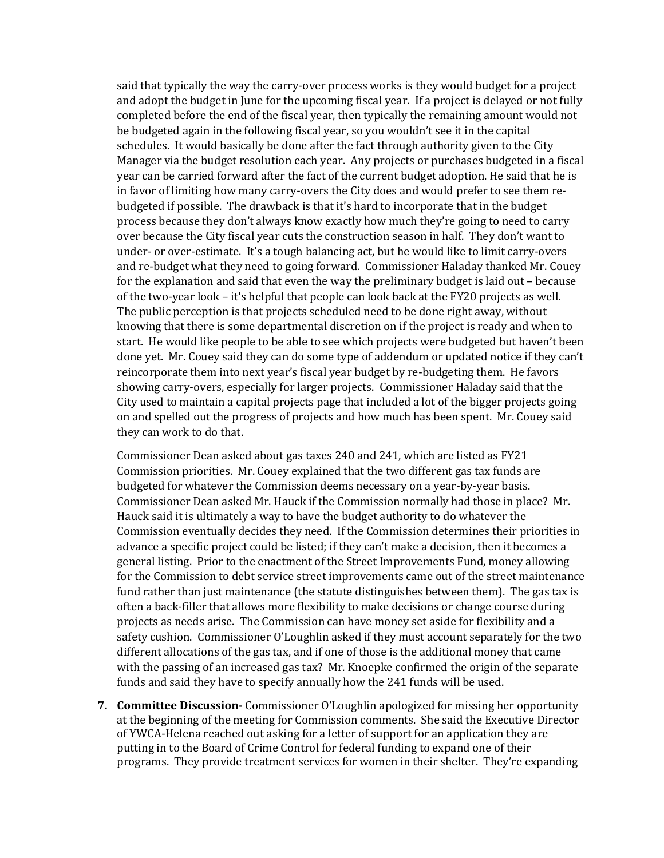said that typically the way the carry-over process works is they would budget for a project and adopt the budget in June for the upcoming fiscal year. If a project is delayed or not fully completed before the end of the fiscal year, then typically the remaining amount would not be budgeted again in the following fiscal year, so you wouldn't see it in the capital schedules. It would basically be done after the fact through authority given to the City Manager via the budget resolution each year. Any projects or purchases budgeted in a fiscal year can be carried forward after the fact of the current budget adoption. He said that he is in favor of limiting how many carry-overs the City does and would prefer to see them rebudgeted if possible. The drawback is that it's hard to incorporate that in the budget process because they don't always know exactly how much they're going to need to carry over because the City fiscal year cuts the construction season in half. They don't want to under- or over-estimate. It's a tough balancing act, but he would like to limit carry-overs and re-budget what they need to going forward. Commissioner Haladay thanked Mr. Couey for the explanation and said that even the way the preliminary budget is laid out – because of the two-year look – it's helpful that people can look back at the FY20 projects as well. The public perception is that projects scheduled need to be done right away, without knowing that there is some departmental discretion on if the project is ready and when to start. He would like people to be able to see which projects were budgeted but haven't been done yet. Mr. Couey said they can do some type of addendum or updated notice if they can't reincorporate them into next year's fiscal year budget by re-budgeting them. He favors showing carry-overs, especially for larger projects. Commissioner Haladay said that the City used to maintain a capital projects page that included a lot of the bigger projects going on and spelled out the progress of projects and how much has been spent. Mr. Couey said they can work to do that.

Commissioner Dean asked about gas taxes 240 and 241, which are listed as FY21 Commission priorities. Mr. Couey explained that the two different gas tax funds are budgeted for whatever the Commission deems necessary on a year-by-year basis. Commissioner Dean asked Mr. Hauck if the Commission normally had those in place? Mr. Hauck said it is ultimately a way to have the budget authority to do whatever the Commission eventually decides they need. If the Commission determines their priorities in advance a specific project could be listed; if they can't make a decision, then it becomes a general listing. Prior to the enactment of the Street Improvements Fund, money allowing for the Commission to debt service street improvements came out of the street maintenance fund rather than just maintenance (the statute distinguishes between them). The gas tax is often a back-filler that allows more flexibility to make decisions or change course during projects as needs arise. The Commission can have money set aside for flexibility and a safety cushion. Commissioner O'Loughlin asked if they must account separately for the two different allocations of the gas tax, and if one of those is the additional money that came with the passing of an increased gas tax? Mr. Knoepke confirmed the origin of the separate funds and said they have to specify annually how the 241 funds will be used.

**7. Committee Discussion-** Commissioner O'Loughlin apologized for missing her opportunity at the beginning of the meeting for Commission comments. She said the Executive Director of YWCA-Helena reached out asking for a letter of support for an application they are putting in to the Board of Crime Control for federal funding to expand one of their programs. They provide treatment services for women in their shelter. They're expanding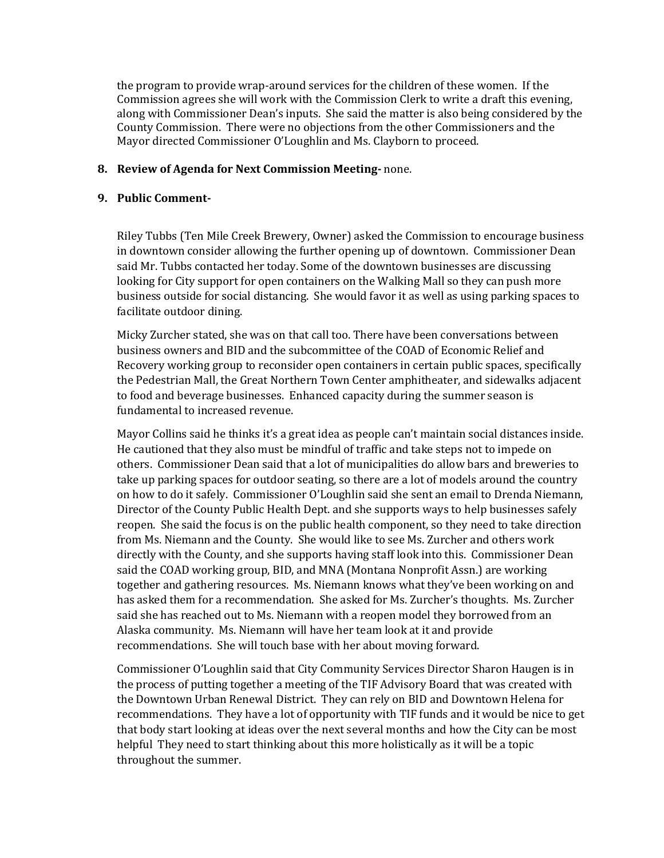the program to provide wrap-around services for the children of these women. If the Commission agrees she will work with the Commission Clerk to write a draft this evening, along with Commissioner Dean's inputs. She said the matter is also being considered by the County Commission. There were no objections from the other Commissioners and the Mayor directed Commissioner O'Loughlin and Ms. Clayborn to proceed.

## **8. Review of Agenda for Next Commission Meeting-** none.

# **9. Public Comment-**

Riley Tubbs (Ten Mile Creek Brewery, Owner) asked the Commission to encourage business in downtown consider allowing the further opening up of downtown. Commissioner Dean said Mr. Tubbs contacted her today. Some of the downtown businesses are discussing looking for City support for open containers on the Walking Mall so they can push more business outside for social distancing. She would favor it as well as using parking spaces to facilitate outdoor dining.

Micky Zurcher stated, she was on that call too. There have been conversations between business owners and BID and the subcommittee of the COAD of Economic Relief and Recovery working group to reconsider open containers in certain public spaces, specifically the Pedestrian Mall, the Great Northern Town Center amphitheater, and sidewalks adjacent to food and beverage businesses. Enhanced capacity during the summer season is fundamental to increased revenue.

Mayor Collins said he thinks it's a great idea as people can't maintain social distances inside. He cautioned that they also must be mindful of traffic and take steps not to impede on others. Commissioner Dean said that a lot of municipalities do allow bars and breweries to take up parking spaces for outdoor seating, so there are a lot of models around the country on how to do it safely. Commissioner O'Loughlin said she sent an email to Drenda Niemann, Director of the County Public Health Dept. and she supports ways to help businesses safely reopen. She said the focus is on the public health component, so they need to take direction from Ms. Niemann and the County. She would like to see Ms. Zurcher and others work directly with the County, and she supports having staff look into this. Commissioner Dean said the COAD working group, BID, and MNA (Montana Nonprofit Assn.) are working together and gathering resources. Ms. Niemann knows what they've been working on and has asked them for a recommendation. She asked for Ms. Zurcher's thoughts. Ms. Zurcher said she has reached out to Ms. Niemann with a reopen model they borrowed from an Alaska community. Ms. Niemann will have her team look at it and provide recommendations. She will touch base with her about moving forward.

Commissioner O'Loughlin said that City Community Services Director Sharon Haugen is in the process of putting together a meeting of the TIF Advisory Board that was created with the Downtown Urban Renewal District. They can rely on BID and Downtown Helena for recommendations. They have a lot of opportunity with TIF funds and it would be nice to get that body start looking at ideas over the next several months and how the City can be most helpful They need to start thinking about this more holistically as it will be a topic throughout the summer.